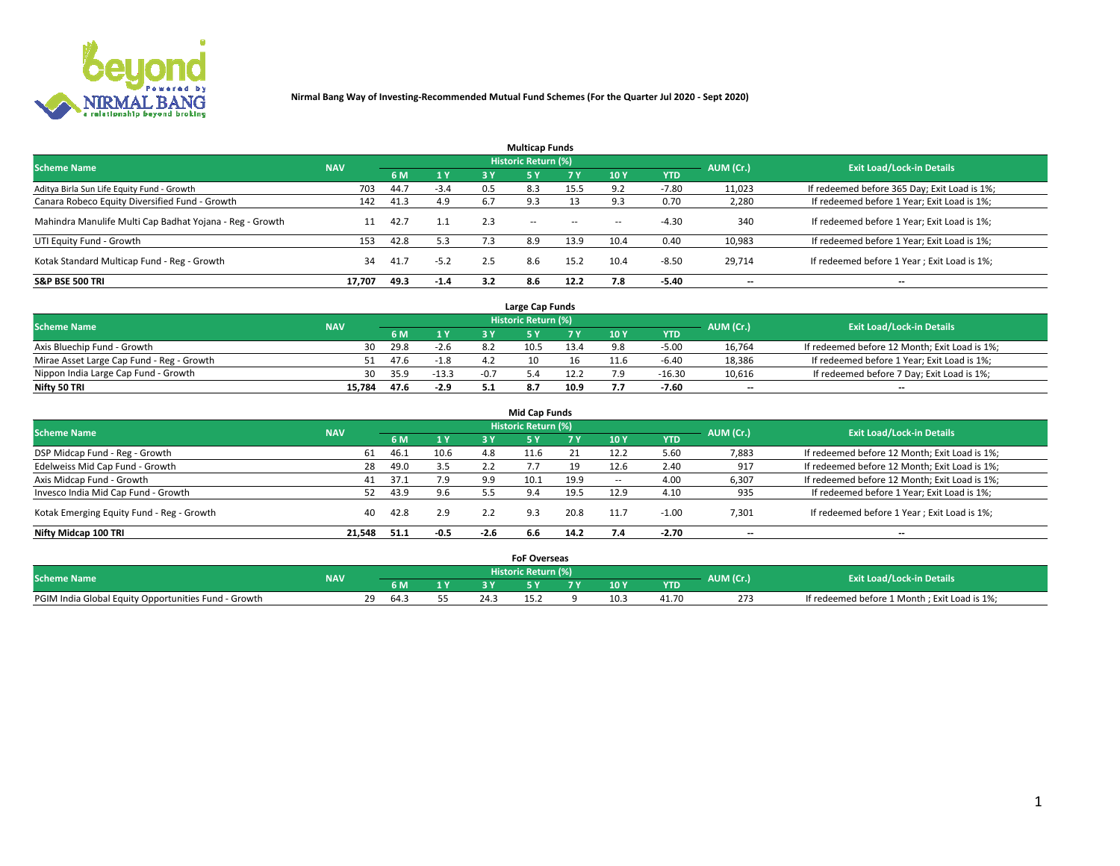

| <b>Multicap Funds</b>                                    |            |      |        |     |                     |           |        |            |           |                                              |  |  |  |
|----------------------------------------------------------|------------|------|--------|-----|---------------------|-----------|--------|------------|-----------|----------------------------------------------|--|--|--|
| <b>Scheme Name</b>                                       | <b>NAV</b> |      |        |     | Historic Return (%) |           |        |            | AUM (Cr.) | <b>Exit Load/Lock-in Details</b>             |  |  |  |
|                                                          |            | 6 M  | 1 Y    | 3 Y | <b>5Y</b>           | <b>7Y</b> | 10Y    | <b>YTD</b> |           |                                              |  |  |  |
| Aditya Birla Sun Life Equity Fund - Growth               | 703        | 44.7 | $-3.4$ | 0.5 | 8.3                 | 15.5      | 9.2    | $-7.80$    | 11,023    | If redeemed before 365 Day; Exit Load is 1%; |  |  |  |
| Canara Robeco Equity Diversified Fund - Growth           | 142        | 41.3 | 4.9    | 6.7 |                     |           |        | 0.70       | 2,280     | If redeemed before 1 Year; Exit Load is 1%;  |  |  |  |
| Mahindra Manulife Multi Cap Badhat Yojana - Reg - Growth | 11         | 42.7 | 1.1    | 2.3 | $\sim$ $-$          | $\sim$    | $\sim$ | $-4.30$    | 340       | If redeemed before 1 Year; Exit Load is 1%;  |  |  |  |
| UTI Equity Fund - Growth                                 | 153        | 42.8 | 5.3    | 7.3 | 8.9                 | 13.9      | 10.4   | 0.40       | 10,983    | If redeemed before 1 Year; Exit Load is 1%;  |  |  |  |
| Kotak Standard Multicap Fund - Reg - Growth              | 34         | 41.7 | $-5.2$ | 2.5 | 8.6                 | 15.2      | 10.4   | $-8.50$    | 29.714    | If redeemed before 1 Year; Exit Load is 1%;  |  |  |  |
| <b>S&amp;P BSE 500 TRI</b>                               | 17.707     | 49.3 | $-1.4$ | 3.2 | 8.6                 | 12.2      |        | $-5.40$    | --        | $- -$                                        |  |  |  |

|                                           |            |      |                       |        | Large Cap Funds     |      |      |            |                          |                                               |
|-------------------------------------------|------------|------|-----------------------|--------|---------------------|------|------|------------|--------------------------|-----------------------------------------------|
| <b>Scheme Name</b>                        | <b>NAV</b> |      |                       |        | Historic Return (%) |      |      |            | AUM (Cr.)                | <b>Exit Load/Lock-in Details</b>              |
|                                           |            |      | $\sqrt{1}$ $\sqrt{2}$ |        |                     | 7 V  | 10 Y | <b>YTD</b> |                          |                                               |
| Axis Bluechip Fund - Growth               | 30         | 29.8 | $-2.6$                |        | 10.5                | 13.4 |      | $-5.00$    | 16,764                   | If redeemed before 12 Month; Exit Load is 1%; |
| Mirae Asset Large Cap Fund - Reg - Growth |            | 47.6 | $-1.8$                |        |                     |      |      | $-6.40$    | 18,386                   | If redeemed before 1 Year; Exit Load is 1%;   |
| Nippon India Large Cap Fund - Growth      | 30         | 35.9 | $-13.3$               | $-0.7$ |                     | 12.2 |      | $-16.30$   | 10,616                   | If redeemed before 7 Day; Exit Load is 1%;    |
| Nifty 50 TRI                              | 15.784     | 47.6 | $-2.9$                |        |                     | 10.9 |      | $-7.60$    | $\overline{\phantom{a}}$ | $\overline{\phantom{a}}$                      |

| <b>Mid Cap Funds</b>                      |            |      |        |        |                            |      |            |            |                          |                                               |  |  |  |
|-------------------------------------------|------------|------|--------|--------|----------------------------|------|------------|------------|--------------------------|-----------------------------------------------|--|--|--|
| <b>Scheme Name</b>                        | <b>NAV</b> |      |        |        | <b>Historic Return (%)</b> |      |            |            | AUM (Cr.)                | <b>Exit Load/Lock-in Details</b>              |  |  |  |
|                                           |            | 6 M  | 1 Y    | 3 Y    |                            | 7 V  | <b>10Y</b> | <b>YTD</b> |                          |                                               |  |  |  |
| DSP Midcap Fund - Reg - Growth            | 61         | 46.1 | 10.6   | 4.8    | 11.6                       |      | 12.2       | 5.60       | 7,883                    | If redeemed before 12 Month; Exit Load is 1%; |  |  |  |
| Edelweiss Mid Cap Fund - Growth           | 28         | 49.0 | 3.5    | 2.2    |                            | 19   | 12.6       | 2.40       | 917                      | If redeemed before 12 Month; Exit Load is 1%; |  |  |  |
| Axis Midcap Fund - Growth                 | 41         | 37.1 | 7.9    | 9.9    |                            | 19.9 | -          | 4.00       | 6,307                    | If redeemed before 12 Month; Exit Load is 1%; |  |  |  |
| Invesco India Mid Cap Fund - Growth       | 52         | 43.9 | 9.6    |        | 9.4                        | 19.5 | 12.9       | 4.10       | 935                      | If redeemed before 1 Year; Exit Load is 1%;   |  |  |  |
| Kotak Emerging Equity Fund - Reg - Growth | 40         | 42.8 | 2.9    | 2.2    | 9.3                        | 20.8 | 11.7       | $-1.00$    | 7,301                    | If redeemed before 1 Year; Exit Load is 1%;   |  |  |  |
| Nifty Midcap 100 TRI                      | 21.548     | 51.1 | $-0.5$ | $-2.6$ | 6.6                        | 14.2 |            | -2.70      | $\overline{\phantom{a}}$ | $\overline{\phantom{a}}$                      |  |  |  |

|                                                      |            |                          |     | <b>FoF Overseas</b>        |     |            |           |                                              |
|------------------------------------------------------|------------|--------------------------|-----|----------------------------|-----|------------|-----------|----------------------------------------------|
| <b>Scheme Name</b>                                   | <b>NAV</b> |                          |     | <b>Historic Return (%)</b> |     |            | AUM (Cr.) | <b>Exit Load/Lock-in Details</b>             |
|                                                      |            | 6 M                      |     |                            | 10Y | <b>YTD</b> |           |                                              |
| PGIM India Global Equity Opportunities Fund - Growth |            | າດ<br>-64.3<br><u>_ </u> | 24. |                            |     | 41.70      | 273       | If redeemed before 1 Month; Exit Load is 1%; |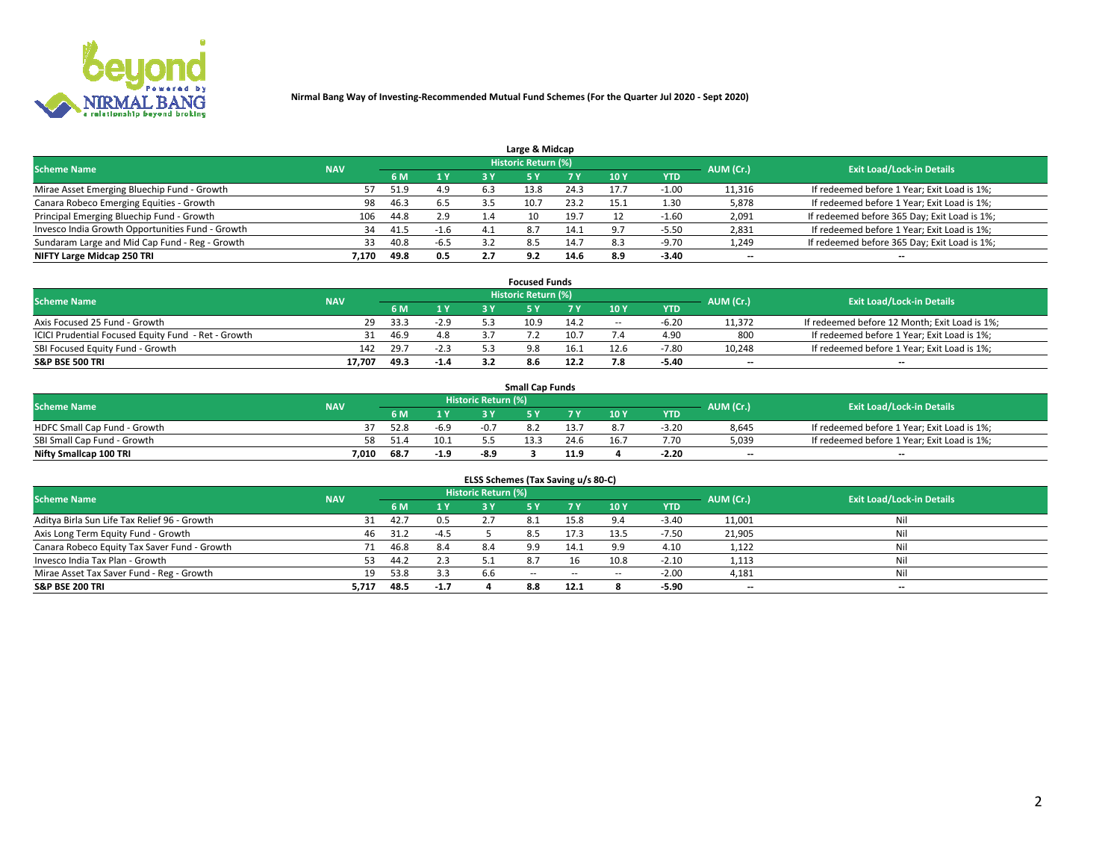

| Large & Midcap                                   |            |      |        |     |                     |      |           |            |                          |                                              |  |  |  |  |
|--------------------------------------------------|------------|------|--------|-----|---------------------|------|-----------|------------|--------------------------|----------------------------------------------|--|--|--|--|
| <b>Scheme Name</b>                               | <b>NAV</b> |      |        |     | Historic Return (%) |      |           |            | AUM (Cr.)                | <b>Exit Load/Lock-in Details</b>             |  |  |  |  |
|                                                  |            | 6 M  | 1 Y    | 3 Y |                     | 7 V  | 10Y       | <b>YTD</b> |                          |                                              |  |  |  |  |
| Mirae Asset Emerging Bluechip Fund - Growth      |            | 51.9 | 4.9    | 6.3 | 13.8                | 24.3 |           | 1.00       | 11,316                   | If redeemed before 1 Year; Exit Load is 1%;  |  |  |  |  |
| Canara Robeco Emerging Equities - Growth         | 98         | 46.3 | 6.5    |     |                     | 23.2 | 15.1      | 1.30       | 5,878                    | If redeemed before 1 Year; Exit Load is 1%;  |  |  |  |  |
| Principal Emerging Bluechip Fund - Growth        | 106        | 44.8 | 2.9    | 1.4 | 10                  | 19.7 |           | $-1.60$    | 2,091                    | If redeemed before 365 Day; Exit Load is 1%; |  |  |  |  |
| Invesco India Growth Opportunities Fund - Growth | 34         | 41.5 | $-1.6$ | 4.1 | 8.7                 | 14.1 | $\circ$ - | -5.50      | 2,831                    | If redeemed before 1 Year; Exit Load is 1%;  |  |  |  |  |
| Sundaram Large and Mid Cap Fund - Reg - Growth   | 33         | 40.8 | $-6.5$ |     | 8.5                 | 14.7 |           | $-9.70$    | 1,249                    | If redeemed before 365 Day; Exit Load is 1%; |  |  |  |  |
| NIFTY Large Midcap 250 TRI                       | 7.170      | 49.8 | 0.5    |     | 9.2                 | 14.6 |           | $-3.40$    | $\overline{\phantom{a}}$ | $- -$                                        |  |  |  |  |

|                                                     |            |      |        |    | <b>Focused Funds</b> |      |        |            |                          |                                               |
|-----------------------------------------------------|------------|------|--------|----|----------------------|------|--------|------------|--------------------------|-----------------------------------------------|
| <b>Scheme Name</b>                                  | <b>NAV</b> |      |        |    | Historic Return (%)  |      |        |            | AUM (Cr.)                | <b>Exit Load/Lock-in Details</b>              |
|                                                     |            | 6 M  | 1 Y.   |    |                      |      | 10 Y   | <b>YTD</b> |                          |                                               |
| Axis Focused 25 Fund - Growth                       | 29         | 33.3 | $-2.9$ |    | 10.9                 | 14.2 | $\sim$ |            | 11,372                   | If redeemed before 12 Month; Exit Load is 1%; |
| ICICI Prudential Focused Equity Fund - Ret - Growth |            | 46.9 | 4.8    |    |                      | 10.7 |        | 4.90       | 800                      | If redeemed before 1 Year; Exit Load is 1%;   |
| SBI Focused Equity Fund - Growth                    | 142        | 29.7 | $-2.3$ | 52 | 9.8                  | 16.1 | 12.6   | $-7.80$    | 10,248                   | If redeemed before 1 Year; Exit Load is 1%;   |
| <b>S&amp;P BSE 500 TRI</b>                          | 17.707     | 49.3 | $-1.4$ |    | 8.6                  | 12.2 |        | $-5.40$    | $\overline{\phantom{a}}$ | $- -$                                         |

| <b>Small Cap Funds</b>       |            |      |        |                     |      |      |                 |            |           |                                             |  |  |  |
|------------------------------|------------|------|--------|---------------------|------|------|-----------------|------------|-----------|---------------------------------------------|--|--|--|
| <b>Scheme Name</b>           | <b>NAV</b> |      |        | Historic Return (%) |      |      |                 |            | AUM (Cr.) | <b>Exit Load/Lock-in Details</b>            |  |  |  |
|                              |            | 6 M  |        |                     |      |      | 10 <sub>Y</sub> | <b>YTD</b> |           |                                             |  |  |  |
| HDFC Small Cap Fund - Growth |            | 52.8 | $-6.9$ | $-0.7$              |      |      |                 | $-3.20$    | 8,645     | If redeemed before 1 Year; Exit Load is 1%; |  |  |  |
| SBI Small Cap Fund - Growth  |            |      | 10.1   |                     | 13.3 | 24.6 | 16.7            | 7.70       | 5,039     | If redeemed before 1 Year; Exit Load is 1%; |  |  |  |
| Nifty Smallcap 100 TRI       | 7.010      | 68.7 | $-1.9$ | $-8.9$              |      | 11.9 |                 | $-2.20$    | $- -$     | $- -$                                       |  |  |  |

| ELSS Schemes (Tax Saving u/s 80-C)           |            |      |        |                            |            |        |                          |            |                          |                                  |  |  |  |
|----------------------------------------------|------------|------|--------|----------------------------|------------|--------|--------------------------|------------|--------------------------|----------------------------------|--|--|--|
| <b>Scheme Name</b>                           | <b>NAV</b> |      |        | <b>Historic Return (%)</b> |            |        |                          |            | AUM (Cr.)                | <b>Exit Load/Lock-in Details</b> |  |  |  |
|                                              |            | 6 M  | 1Y     | 3 Y                        | <b>5Y</b>  | 7 Y    | 10 Y                     | <b>YTD</b> |                          |                                  |  |  |  |
| Aditya Birla Sun Life Tax Relief 96 - Growth | 31         | 42.7 | 0.5    |                            |            | 15.8   |                          | $-3.40$    | 11,001                   | Nil                              |  |  |  |
| Axis Long Term Equity Fund - Growth          | -46        | 31.2 | $-4.5$ |                            | 8.5        | 17.3   | 13.5                     | $-7.50$    | 21,905                   | Nil                              |  |  |  |
| Canara Robeco Equity Tax Saver Fund - Growth |            | 46.8 | 8.4    | 8.4                        | 9.9        | 14.1   | 9.9                      | 4.10       | 1,122                    | Nil                              |  |  |  |
| Invesco India Tax Plan - Growth              | 53         | 44.2 | 2.3    |                            |            |        | 10.8                     | $-2.10$    | 1,113                    | Nil                              |  |  |  |
| Mirae Asset Tax Saver Fund - Reg - Growth    | 19         | 53.8 | 3.3    | 6.6                        | $\sim$ $-$ | $\sim$ | $\overline{\phantom{a}}$ | $-2.00$    | 4,181                    | Nil                              |  |  |  |
| S&P BSE 200 TRI                              | 5,717      | 48.5 | $-1.7$ |                            | 8.8        | 12.1   |                          | $-5.90$    | $\overline{\phantom{a}}$ | $- -$                            |  |  |  |

# 2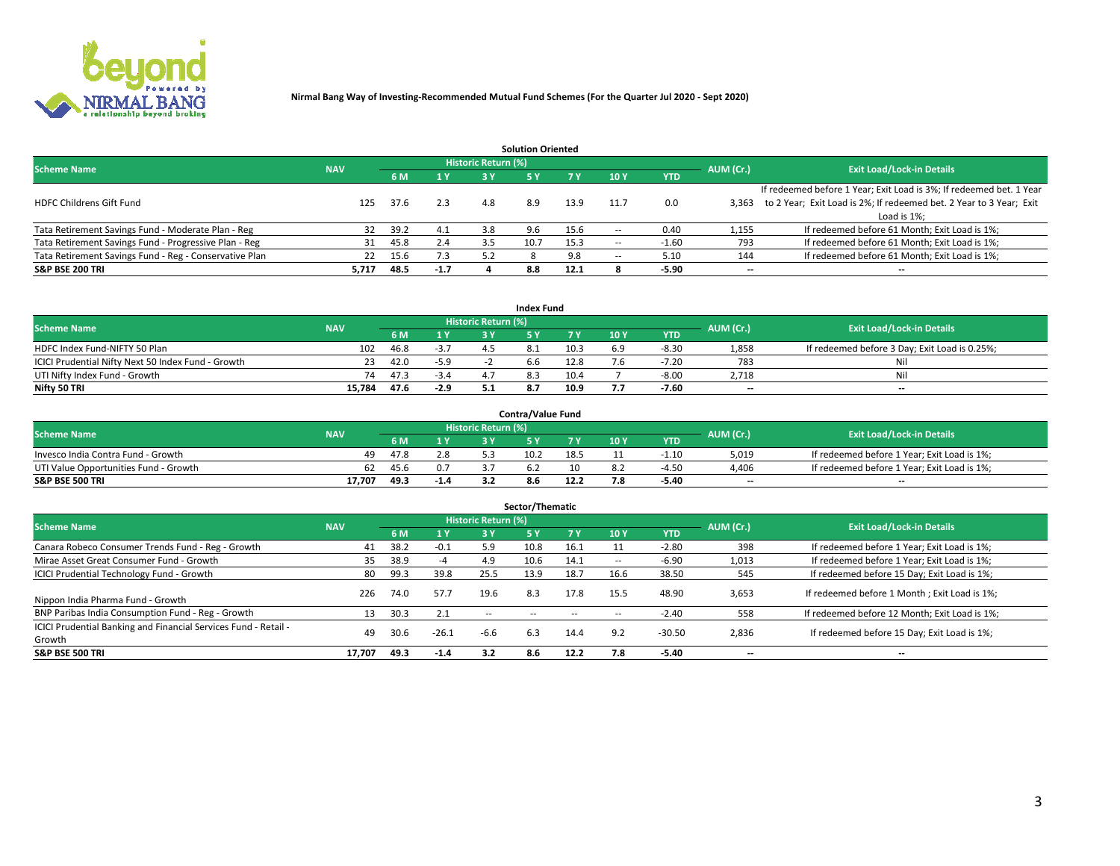

|                                                        |            |            |        |                            | <b>Solution Oriented</b> |      |                          |            |                          |                                                                     |
|--------------------------------------------------------|------------|------------|--------|----------------------------|--------------------------|------|--------------------------|------------|--------------------------|---------------------------------------------------------------------|
| <b>Scheme Name</b>                                     | <b>NAV</b> |            |        | <b>Historic Return (%)</b> |                          |      |                          |            | AUM (Cr.)                | <b>Exit Load/Lock-in Details</b>                                    |
|                                                        |            | <b>6 M</b> | 1 Y    | 3 Y                        |                          |      | 10Y                      | <b>YTD</b> |                          |                                                                     |
|                                                        |            |            |        |                            |                          |      |                          |            |                          | If redeemed before 1 Year; Exit Load is 3%; If redeemed bet. 1 Year |
| <b>HDFC Childrens Gift Fund</b>                        | 125        | 37.6       | 2.3    | 4.8                        | 8.9                      | 13.9 | 11.7                     | 0.0        | 3.363                    | to 2 Year; Exit Load is 2%; If redeemed bet. 2 Year to 3 Year; Exit |
|                                                        |            |            |        |                            |                          |      |                          |            |                          | Load is 1%;                                                         |
| Tata Retirement Savings Fund - Moderate Plan - Reg     | 32         | 39.2       | 4.1    | 3.8                        | 9.6                      | 15.6 | --                       | 0.40       | 1,155                    | If redeemed before 61 Month; Exit Load is 1%;                       |
| Tata Retirement Savings Fund - Progressive Plan - Reg  | 31         | 45.8       | 2.4    | 3.5                        | 10.7                     | 15.3 | $\overline{\phantom{a}}$ | $-1.60$    | 793                      | If redeemed before 61 Month; Exit Load is 1%;                       |
| Tata Retirement Savings Fund - Reg - Conservative Plan | 22         | 15.6       | 7.3    | 5.2                        |                          | 9.8  | --                       | 5.10       | 144                      | If redeemed before 61 Month; Exit Load is 1%;                       |
| S&P BSE 200 TRI                                        | 5,717      | 48.5       | $-1.7$ |                            | 8.8                      | 12.1 |                          | $-5.90$    | $\overline{\phantom{a}}$ | $- -$                                                               |

|                                                    |            |      |        |                            | <b>Index Fund</b> |      |      |            |                          |                                               |
|----------------------------------------------------|------------|------|--------|----------------------------|-------------------|------|------|------------|--------------------------|-----------------------------------------------|
| <b>Scheme Name</b>                                 | <b>NAV</b> |      |        | <b>Historic Return (%)</b> |                   |      |      |            | AUM (Cr.)                | <b>Exit Load/Lock-in Details</b>              |
|                                                    |            | 6 M  | 1Y     | 2 V                        |                   |      | 10 Y | <b>YTD</b> |                          |                                               |
| HDFC Index Fund-NIFTY 50 Plan                      | 102        | 46.8 | $-3.7$ |                            |                   | 10.3 | 6.9  | -8.30      | 1,858                    | If redeemed before 3 Day; Exit Load is 0.25%; |
| ICICI Prudential Nifty Next 50 Index Fund - Growth | 23         | 42.0 | $-5.9$ |                            |                   | 12.8 |      | $-7.20$    | 783                      | Nil                                           |
| UTI Nifty Index Fund - Growth                      | 74         | 47.3 | -3.4   |                            |                   | 10.4 |      | -8.00      | 2.718                    | Nil                                           |
| Nifty 50 TRI                                       | 15.784     | 47.6 | $-2.9$ |                            |                   | 10.9 |      | $-7.60$    | $\overline{\phantom{a}}$ | $- -$                                         |

|                                       |            |      |        |                            | <b>Contra/Value Fund</b> |      |     |            |                          |                                             |
|---------------------------------------|------------|------|--------|----------------------------|--------------------------|------|-----|------------|--------------------------|---------------------------------------------|
| <b>Scheme Name</b>                    | <b>NAV</b> |      |        | <b>Historic Return (%)</b> |                          |      |     |            | AUM (Cr.)                | <b>Exit Load/Lock-in Details</b>            |
|                                       |            |      | 1 V    |                            |                          | 7 V  | 10Y | <b>YTD</b> |                          |                                             |
| Invesco India Contra Fund - Growth    | 49         | 47.8 | 2.8    |                            | 10.2                     | 18.5 |     | -1.10      | 5,019                    | If redeemed before 1 Year; Exit Load is 1%; |
| UTI Value Opportunities Fund - Growth | 62         | 45.6 |        |                            |                          |      |     | $-4.50$    | 4,406                    | If redeemed before 1 Year; Exit Load is 1%; |
| <b>S&amp;P BSE 500 TRI</b>            | 17.707     | 49.3 | $-1.4$ |                            |                          | 12.2 |     | $-5.40$    | $\overline{\phantom{a}}$ | $- -$                                       |

| Sector/Thematic                                                           |            |      |                  |                     |            |           |                          |            |           |                                               |  |  |  |  |
|---------------------------------------------------------------------------|------------|------|------------------|---------------------|------------|-----------|--------------------------|------------|-----------|-----------------------------------------------|--|--|--|--|
| <b>Scheme Name</b>                                                        | <b>NAV</b> |      |                  | Historic Return (%) |            |           |                          |            | AUM (Cr.) | <b>Exit Load/Lock-in Details</b>              |  |  |  |  |
|                                                                           |            | 6 M  | $\overline{1}$ Y | 3 Y                 | <b>5Y</b>  | <b>7Y</b> | 10Y                      | <b>YTD</b> |           |                                               |  |  |  |  |
| Canara Robeco Consumer Trends Fund - Reg - Growth                         | 41         | 38.2 | $-0.1$           | 5.9                 | 10.8       | 16.1      |                          | $-2.80$    | 398       | If redeemed before 1 Year; Exit Load is 1%;   |  |  |  |  |
| Mirae Asset Great Consumer Fund - Growth                                  | 35         | 38.9 | -4               | 4.9                 | 10.6       | 14.1      | $\overline{\phantom{a}}$ | -6.90      | 1,013     | If redeemed before 1 Year; Exit Load is 1%;   |  |  |  |  |
| <b>ICICI Prudential Technology Fund - Growth</b>                          | 80         | 99.3 | 39.8             | 25.5                | 13.9       | 18.7      | 16.6                     | 38.50      | 545       | If redeemed before 15 Day; Exit Load is 1%;   |  |  |  |  |
| Nippon India Pharma Fund - Growth                                         | 226        | 74.0 | 57.7             | 19.6                | 8.3        | 17.8      | 15.5                     | 48.90      | 3,653     | If redeemed before 1 Month; Exit Load is 1%;  |  |  |  |  |
| BNP Paribas India Consumption Fund - Reg - Growth                         |            | 30.3 | 2.1              | $\sim$ $-$          | $\sim$ $-$ | $\sim$    | $\sim$                   | $-2.40$    | 558       | If redeemed before 12 Month; Exit Load is 1%; |  |  |  |  |
| ICICI Prudential Banking and Financial Services Fund - Retail -<br>Growth | 49         | 30.6 | $-26.1$          | -6.6                | 6.3        | 14.4      | 9.2                      | $-30.50$   | 2,836     | If redeemed before 15 Day; Exit Load is 1%;   |  |  |  |  |
| <b>S&amp;P BSE 500 TRI</b>                                                | 17.707     | 49.3 | $-1.4$           | 3.2                 | 8.6        | 12.2      | 7.8                      | $-5.40$    | --        | $- -$                                         |  |  |  |  |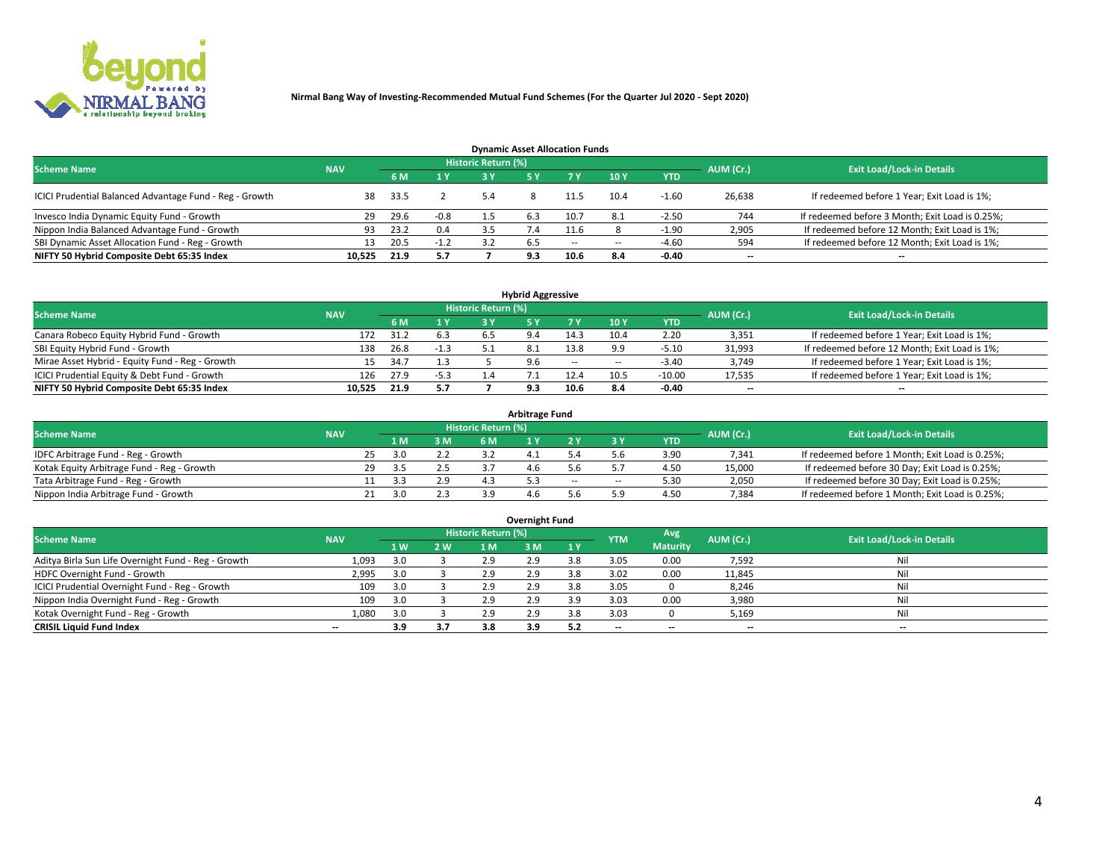

| <b>Dynamic Asset Allocation Funds</b>                   |            |      |        |                            |     |        |                          |            |           |                                                 |  |  |  |  |
|---------------------------------------------------------|------------|------|--------|----------------------------|-----|--------|--------------------------|------------|-----------|-------------------------------------------------|--|--|--|--|
| <b>Scheme Name</b>                                      | <b>NAV</b> |      |        | <b>Historic Return (%)</b> |     |        |                          |            | AUM (Cr.) | <b>Exit Load/Lock-in Details</b>                |  |  |  |  |
|                                                         |            | 6 M  | 1 Y    |                            |     |        | $-10Y$                   | <b>YTD</b> |           |                                                 |  |  |  |  |
| ICICI Prudential Balanced Advantage Fund - Reg - Growth | 38         | 33.5 |        | 5.4                        |     | 11.5   | 10.4                     | $-1.60$    | 26,638    | If redeemed before 1 Year; Exit Load is 1%;     |  |  |  |  |
| Invesco India Dynamic Equity Fund - Growth              | 29         | 29.6 | $-0.8$ |                            | 6.3 | 10.7   | 8.1                      | $-2.50$    | 744       | If redeemed before 3 Month; Exit Load is 0.25%; |  |  |  |  |
| Nippon India Balanced Advantage Fund - Growth           | 93         | 23.2 | 0.4    |                            | 7.4 | 11.6   |                          | $-1.90$    | 2,905     | If redeemed before 12 Month; Exit Load is 1%;   |  |  |  |  |
| SBI Dynamic Asset Allocation Fund - Reg - Growth        |            | 20.5 | $-1.2$ | 37                         | 6.5 | $\sim$ | $\overline{\phantom{a}}$ | -4.60      | 594       | If redeemed before 12 Month; Exit Load is 1%;   |  |  |  |  |
| NIFTY 50 Hybrid Composite Debt 65:35 Index              | 10,525     | 21.9 | 5.7    |                            | 9.3 | 10.6   | 8.4                      | $-0.40$    | $- -$     | $- -$                                           |  |  |  |  |

| <b>Hybrid Aggressive</b>                        |                                                                      |      |        |    |     |        |                          |            |        |                                               |  |  |  |  |  |
|-------------------------------------------------|----------------------------------------------------------------------|------|--------|----|-----|--------|--------------------------|------------|--------|-----------------------------------------------|--|--|--|--|--|
|                                                 | Historic Return (%)<br><b>Scheme Name</b><br>AUM (Cr.)<br><b>NAV</b> |      |        |    |     |        |                          |            |        |                                               |  |  |  |  |  |
|                                                 |                                                                      | 6 M  | 1 Y    | RУ |     | 7 V    | 10Y                      | <b>YTD</b> |        | <b>Exit Load/Lock-in Details</b>              |  |  |  |  |  |
| Canara Robeco Equity Hybrid Fund - Growth       | 172                                                                  | 31.2 | 6.3    |    |     | 14.3   | 10.4                     | 2.20       | 3,351  | If redeemed before 1 Year; Exit Load is 1%;   |  |  |  |  |  |
| SBI Equity Hybrid Fund - Growth                 | 138                                                                  | 26.8 | $-1.3$ |    |     | 13.8   |                          | $-5.10$    | 31,993 | If redeemed before 12 Month; Exit Load is 1%; |  |  |  |  |  |
| Mirae Asset Hybrid - Equity Fund - Reg - Growth | 15                                                                   | 34.7 |        |    | 9.6 | $\sim$ | $\overline{\phantom{a}}$ | $-3.40$    | 3,749  | If redeemed before 1 Year; Exit Load is 1%;   |  |  |  |  |  |
| ICICI Prudential Equity & Debt Fund - Growth    | 126                                                                  | 27.9 | $-5.3$ |    |     |        | 10.5                     | $-10.00$   | 17,535 | If redeemed before 1 Year; Exit Load is 1%;   |  |  |  |  |  |
| NIFTY 50 Hybrid Composite Debt 65:35 Index      | 10.525                                                               | 21.9 | 5.7    |    |     | 10.6   |                          | $-0.40$    | --     | $- -$                                         |  |  |  |  |  |

| <b>Arbitrage Fund</b>                      |            |                                  |      |     |           |  |        |        |            |        |                                                 |  |  |  |
|--------------------------------------------|------------|----------------------------------|------|-----|-----------|--|--------|--------|------------|--------|-------------------------------------------------|--|--|--|
| <b>Scheme Name</b>                         | AUM (Cr.)  | <b>Exit Load/Lock-in Details</b> |      |     |           |  |        |        |            |        |                                                 |  |  |  |
|                                            | <b>NAV</b> |                                  | LΜ   | 3 M | <b>6M</b> |  |        |        | <b>YTD</b> |        |                                                 |  |  |  |
| IDFC Arbitrage Fund - Reg - Growth         |            | 25                               | 3.0  | 2.2 |           |  |        |        | 3.90       | 7,341  | If redeemed before 1 Month; Exit Load is 0.25%; |  |  |  |
| Kotak Equity Arbitrage Fund - Reg - Growth |            | 29                               | -3.5 |     |           |  |        |        | 4.50       | 15,000 | If redeemed before 30 Day; Exit Load is 0.25%;  |  |  |  |
| Tata Arbitrage Fund - Reg - Growth         |            |                                  |      | 2.9 |           |  | $\sim$ | $\sim$ | 5.30       | 2,050  | If redeemed before 30 Day; Exit Load is 0.25%;  |  |  |  |
| Nippon India Arbitrage Fund - Growth       |            |                                  | ה ר  |     | эa        |  |        | : ဝ    | 4.50       | 7,384  | If redeemed before 1 Month; Exit Load is 0.25%; |  |  |  |

| Overnight Fund                                      |            |                |     |                     |     |     |            |                 |                          |                                  |  |  |  |  |
|-----------------------------------------------------|------------|----------------|-----|---------------------|-----|-----|------------|-----------------|--------------------------|----------------------------------|--|--|--|--|
| <b>Scheme Name</b>                                  | <b>NAV</b> |                |     | Historic Return (%) |     |     | <b>YTM</b> | Avg             | AUM (Cr.)                | <b>Exit Load/Lock-in Details</b> |  |  |  |  |
|                                                     |            | 1 <sub>W</sub> | 2 W | 1 M                 | : M | 1 Y |            | <b>Maturity</b> |                          |                                  |  |  |  |  |
| Aditya Birla Sun Life Overnight Fund - Reg - Growth | 1,093      | 3.0            |     | 2.9                 | 2.9 |     | 3.05       | 0.00            | 7,592                    | Nil                              |  |  |  |  |
| HDFC Overnight Fund - Growth                        | 2,995      | 3.0            |     | 2.9                 | 2.9 |     | 3.02       | 0.00            | 11,845                   | Nil                              |  |  |  |  |
| ICICI Prudential Overnight Fund - Reg - Growth      | 109        | 3.0            |     | 2.9                 | 2.5 |     | 3.05       |                 | 8,246                    | Nil                              |  |  |  |  |
| Nippon India Overnight Fund - Reg - Growth          | 109        | 3.0            |     | 2.9                 | 2.9 | 3.9 | 3.03       | 0.00            | 3,980                    | Nil                              |  |  |  |  |
| Kotak Overnight Fund - Reg - Growth                 | 1,080      | 3.0            |     | 2.9                 | 2.9 | 3.8 | 3.03       |                 | 5,169                    | Nil                              |  |  |  |  |
| <b>CRISIL Liquid Fund Index</b>                     | $- -$      | 3.9            | 3.7 | 3.8                 | 3.9 |     | --         | $- -$           | $\overline{\phantom{a}}$ | $- -$                            |  |  |  |  |

#### **Overnight Fund**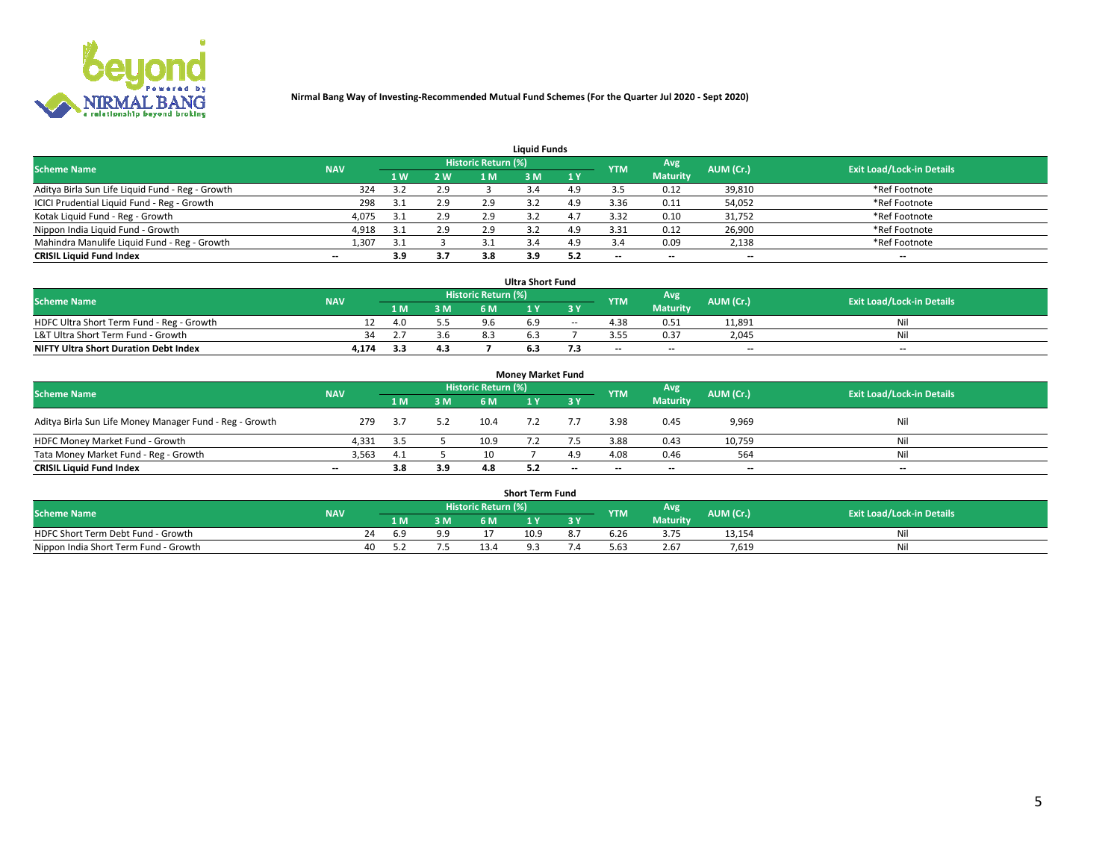

| <b>Liquid Funds</b>                              |            |     |     |                     |     |     |            |                 |           |                                  |  |  |  |  |
|--------------------------------------------------|------------|-----|-----|---------------------|-----|-----|------------|-----------------|-----------|----------------------------------|--|--|--|--|
| <b>Scheme Name</b>                               | <b>NAV</b> |     |     | Historic Return (%) |     |     | <b>YTM</b> | Avg             | AUM (Cr.) | <b>Exit Load/Lock-in Details</b> |  |  |  |  |
|                                                  |            | 4W  | 2 W | 1 M                 | M   | 1 Y |            | <b>Maturity</b> |           |                                  |  |  |  |  |
| Aditya Birla Sun Life Liquid Fund - Reg - Growth | 324        |     | 2.9 |                     |     |     |            | 0.12            | 39,810    | *Ref Footnote                    |  |  |  |  |
| ICICI Prudential Liquid Fund - Reg - Growth      | 298        | 3.1 | 2.9 | 2.9                 |     | 4.9 | 3.36       | 0.11            | 54,052    | *Ref Footnote                    |  |  |  |  |
| Kotak Liquid Fund - Reg - Growth                 | 4,075      |     | 2.9 | 2.9                 |     |     | 3.32       | 0.10            | 31,752    | *Ref Footnote                    |  |  |  |  |
| Nippon India Liquid Fund - Growth                | 4,918      | 3.1 | 2.9 | 2.9                 |     | 4.9 | 3.31       | 0.12            | 26,900    | *Ref Footnote                    |  |  |  |  |
| Mahindra Manulife Liquid Fund - Reg - Growth     | 1,307      | 3.1 |     | 3.1                 |     | 4.9 |            | 0.09            | 2,138     | *Ref Footnote                    |  |  |  |  |
| <b>CRISIL Liquid Fund Index</b>                  | $- -$      | 3.9 | 3.7 | 3.8                 | 3.9 |     | --         | $- -$           | --        | $- -$                            |  |  |  |  |

| <b>Ultra Short Fund</b>                      |            |     |     |     |                                                 |            |           |                                  |                          |     |  |  |  |  |
|----------------------------------------------|------------|-----|-----|-----|-------------------------------------------------|------------|-----------|----------------------------------|--------------------------|-----|--|--|--|--|
| <b>Scheme Name</b>                           | <b>NAV</b> |     |     |     | <b>Historic Return (%)</b><br>Avg<br><b>YTM</b> |            | AUM (Cr.) | <b>Exit Load/Lock-in Details</b> |                          |     |  |  |  |  |
|                                              |            | 1 M | 3 M | 6 M |                                                 | <b>3 Y</b> |           | <b>Maturity</b>                  |                          |     |  |  |  |  |
| HDFC Ultra Short Term Fund - Reg - Growth    |            | 4.0 |     |     |                                                 | $\sim$     |           | 0.51                             | 11,891                   | Nil |  |  |  |  |
| L&T Ultra Short Term Fund - Growth           | 34.        |     | 3.6 | 8.3 |                                                 |            |           | 0.37                             | 2.045                    | Ni  |  |  |  |  |
| <b>NIFTY Ultra Short Duration Debt Index</b> | 4,174      | 3.3 | 4.3 |     |                                                 |            | $-$       | $- -$                            | $\overline{\phantom{a}}$ | $-$ |  |  |  |  |

| <b>Monev Market Fund</b>                                |                          |      |     |                     |  |           |                          |                 |                          |                                  |  |  |  |  |
|---------------------------------------------------------|--------------------------|------|-----|---------------------|--|-----------|--------------------------|-----------------|--------------------------|----------------------------------|--|--|--|--|
| <b>Scheme Name</b>                                      | <b>NAV</b>               |      |     | Historic Return (%) |  |           | <b>YTM</b>               | Avg.            | AUM (Cr.)                | <b>Exit Load/Lock-in Details</b> |  |  |  |  |
|                                                         |                          | 1 M  | 3 M | 6 M                 |  | <b>3Y</b> |                          | <b>Maturity</b> |                          |                                  |  |  |  |  |
| Aditya Birla Sun Life Money Manager Fund - Reg - Growth | 279                      |      | 5.2 | 10.4                |  |           | 3.98                     | 0.45            | 9,969                    | Nil                              |  |  |  |  |
| HDFC Money Market Fund - Growth                         | 4,331                    | -3.5 |     | 10.9                |  |           | 3.88                     | 0.43            | 10,759                   | Nil                              |  |  |  |  |
| Tata Money Market Fund - Reg - Growth                   | 3,563                    | 4.1  |     |                     |  | лq        | 4.08                     | 0.46            | 564                      | Nil                              |  |  |  |  |
| <b>CRISIL Liquid Fund Index</b>                         | $\overline{\phantom{a}}$ | 3.8  | 3.9 | 4.8                 |  | $-$       | $\overline{\phantom{a}}$ | $- -$           | $\overline{\phantom{a}}$ | $- -$                            |  |  |  |  |

|                                       | <b>Short Term Fund</b> |       |     |                     |      |    |      |                 |           |                                  |  |  |  |  |  |
|---------------------------------------|------------------------|-------|-----|---------------------|------|----|------|-----------------|-----------|----------------------------------|--|--|--|--|--|
| <b>Scheme Name</b>                    | <b>NAV</b>             |       |     | Historic Return (%) |      |    | YTM  | Avg             | AUM (Cr.) | <b>Exit Load/Lock-in Details</b> |  |  |  |  |  |
|                                       |                        | 1 M . | 3 M | 6 M                 |      | 2V |      | <b>Maturity</b> |           |                                  |  |  |  |  |  |
| HDFC Short Term Debt Fund - Growth    |                        | 6.9   | 9.9 |                     | 10.9 |    | o.Zb |                 | 13,154    | M                                |  |  |  |  |  |
| Nippon India Short Term Fund - Growth | 40                     |       |     |                     |      |    | 63.د | 2.67            | 7.619     | N                                |  |  |  |  |  |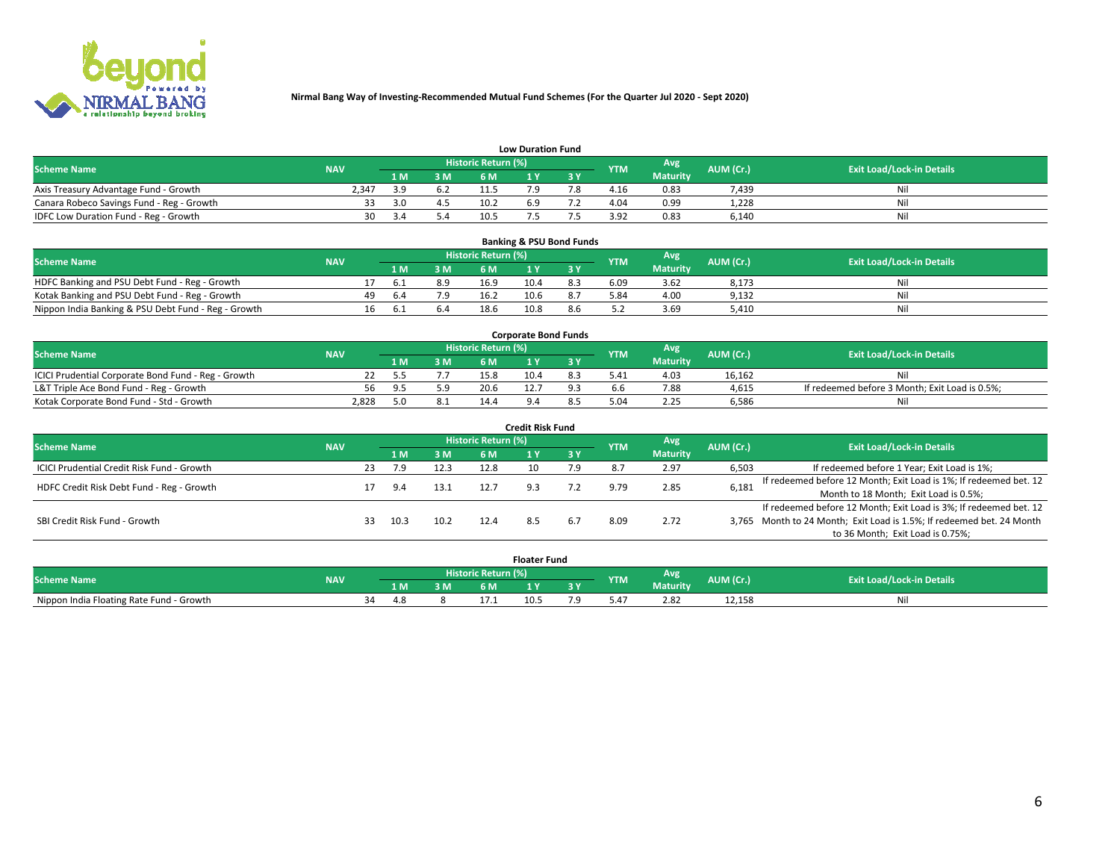

| <b>Low Duration Fund</b>                  |            |     |     |                            |     |     |            |                 |           |                                  |  |  |  |  |
|-------------------------------------------|------------|-----|-----|----------------------------|-----|-----|------------|-----------------|-----------|----------------------------------|--|--|--|--|
| <b>Scheme Name</b>                        | <b>NAV</b> |     |     | <b>Historic Return (%)</b> |     |     | <b>YTM</b> | <b>Avg</b>      | AUM (Cr.) | <b>Exit Load/Lock-in Details</b> |  |  |  |  |
|                                           |            | 1 M | 3 M |                            |     | 3 Y |            | <b>Maturity</b> |           |                                  |  |  |  |  |
| Axis Treasury Advantage Fund - Growth     | 2.347      | 3 Q | 6.2 |                            |     |     | 4.16       | 0.83            | 7,439     | Nil                              |  |  |  |  |
| Canara Robeco Savings Fund - Reg - Growth |            | 3.0 | 4.5 | 10.2                       | 6.9 |     | 4.04       | 0.99            | 1,228     | Nil                              |  |  |  |  |
| IDFC Low Duration Fund - Reg - Growth     | 30         |     | 5.4 | 10.5                       |     |     | 3.92       | 0.83            | 6,140     | Nil                              |  |  |  |  |

| <b>Banking &amp; PSU Bond Funds</b>                 |            |    |      |     |                     |      |     |            |                 |           |                                  |  |  |  |
|-----------------------------------------------------|------------|----|------|-----|---------------------|------|-----|------------|-----------------|-----------|----------------------------------|--|--|--|
| <b>Scheme Name</b>                                  | <b>NAV</b> |    |      |     | Historic Return (%) |      |     | <b>YTM</b> | Avg             | AUM (Cr.) | <b>Exit Load/Lock-in Details</b> |  |  |  |
|                                                     |            |    | 1 M. | 3 M | 6 M                 |      |     |            | <b>Maturity</b> |           |                                  |  |  |  |
| HDFC Banking and PSU Debt Fund - Reg - Growth       |            |    | 6.1  | 8.9 | 16.9                | 10.4 | 8.3 | 6.09       | 3.62            | 8,173     | Ni                               |  |  |  |
| Kotak Banking and PSU Debt Fund - Reg - Growth      |            | 49 | 6.4  | 7.9 | 16.2                | 10.6 | 8.7 | 5.84       | 4.00            | 9,132     | Ni                               |  |  |  |
| Nippon India Banking & PSU Debt Fund - Reg - Growth |            | 16 | . ხ. | 6.4 | 18.6                | 10.8 |     |            | 3.69            | 5.410     | Νi                               |  |  |  |

| <b>Corporate Bond Funds</b>                         |            |      |     |                            |      |  |               |                 |           |                                                |  |  |  |  |
|-----------------------------------------------------|------------|------|-----|----------------------------|------|--|---------------|-----------------|-----------|------------------------------------------------|--|--|--|--|
| <b>Scheme Name</b>                                  | <b>NAV</b> |      |     | <b>Historic Return (%)</b> |      |  | <b>YTM</b>    | Avg             | AUM (Cr.) | <b>Exit Load/Lock-in Details</b>               |  |  |  |  |
|                                                     |            | 4 M. | 3 M | 6 M                        |      |  |               | <b>Maturity</b> |           |                                                |  |  |  |  |
| ICICI Prudential Corporate Bond Fund - Reg - Growth |            |      |     | 15.8                       | 10.4 |  | $5.4^{\circ}$ | 4.03            | 16.162    |                                                |  |  |  |  |
| L&T Triple Ace Bond Fund - Reg - Growth             | 56         | 95 S | 59  | 20.6                       |      |  |               | 7.88            | 4,615     | If redeemed before 3 Month; Exit Load is 0.5%; |  |  |  |  |
| Kotak Corporate Bond Fund - Std - Growth            | 2.828      | - 11 |     | 14.4                       |      |  |               | 2.25            | 6,586     | Nil                                            |  |  |  |  |

| <b>Credit Risk Fund</b>                           |            |    |      |      |                            |     |     |            |                 |           |                                                                       |  |  |  |
|---------------------------------------------------|------------|----|------|------|----------------------------|-----|-----|------------|-----------------|-----------|-----------------------------------------------------------------------|--|--|--|
| <b>Scheme Name</b>                                | <b>NAV</b> |    |      |      | <b>Historic Return (%)</b> |     |     | <b>YTM</b> | <b>Avg</b>      | AUM (Cr.) | <b>Exit Load/Lock-in Details</b>                                      |  |  |  |
|                                                   |            |    | 1 M  | 3 M  | 6 M                        |     | 3 Y |            | <b>Maturity</b> |           |                                                                       |  |  |  |
| <b>ICICI Prudential Credit Risk Fund - Growth</b> |            | 23 | 7.9  | 12.3 | 12.8                       | 10  | 7.9 |            | 2.97            | 6,503     | If redeemed before 1 Year; Exit Load is 1%;                           |  |  |  |
| HDFC Credit Risk Debt Fund - Reg - Growth         |            |    | 9.4  | 13.1 | 12.7                       |     |     |            | 2.85            | 6,181     | If redeemed before 12 Month; Exit Load is 1%; If redeemed bet. 12     |  |  |  |
|                                                   |            |    |      |      |                            |     |     |            |                 |           | Month to 18 Month; Exit Load is 0.5%;                                 |  |  |  |
|                                                   |            |    |      |      |                            |     |     |            |                 |           | If redeemed before 12 Month; Exit Load is 3%; If redeemed bet. 12     |  |  |  |
| SBI Credit Risk Fund - Growth                     |            | 33 | 10.3 | 10.2 | 12.4                       | 8.5 |     | 8.09       | 2.72            |           | 3,765 Month to 24 Month; Exit Load is 1.5%; If redeemed bet. 24 Month |  |  |  |
|                                                   |            |    |      |      |                            |     |     |            |                 |           | to 36 Month; Exit Load is 0.75%;                                      |  |  |  |

| <b>Floater Fund</b>                      |            |      |     |    |                     |      |   |            |                 |           |                                  |  |
|------------------------------------------|------------|------|-----|----|---------------------|------|---|------------|-----------------|-----------|----------------------------------|--|
| <b>Scheme Name</b>                       | <b>NAV</b> |      |     |    | Historic Return (%) |      |   | <b>YTM</b> | Avg             | AUM (Cr.) | <b>Exit Load/Lock-in Details</b> |  |
|                                          |            |      | 1 M | ЗM | 5M                  | .    | . |            | <b>Maturity</b> |           |                                  |  |
| Nippon India Floating Rate Fund - Growth |            | - 34 | 4 A |    |                     | 10.5 |   | 5.4.       | 2.82            | 12,158    | NL                               |  |